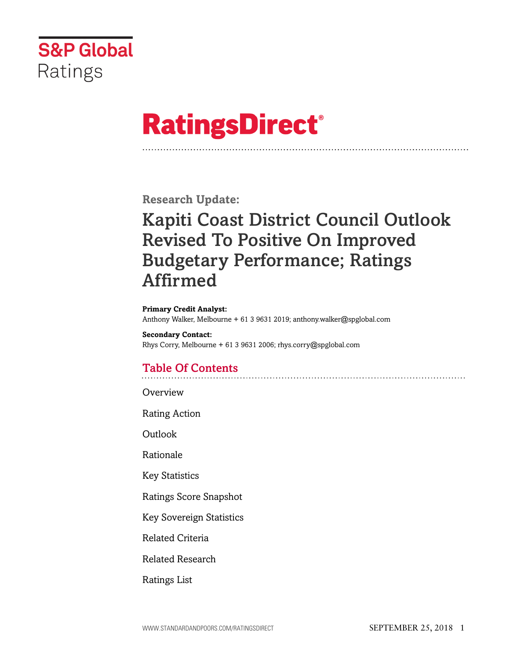

# **RatingsDirect®**

**Research Update:**

## Kapiti Coast District Council Outlook Revised To Positive On Improved Budgetary Performance; Ratings Affirmed

#### **Primary Credit Analyst:**

Anthony Walker, Melbourne + 61 3 9631 2019; anthony.walker@spglobal.com

**Secondary Contact:** Rhys Corry, Melbourne + 61 3 9631 2006; rhys.corry@spglobal.com

## Table Of Contents

[Overview](#page-1-0)

[Rating Action](#page-1-1)

[Outlook](#page-1-2)

[Rationale](#page-2-0)

[Key Statistics](#page-4-0)

[Ratings Score Snapshot](#page-5-0)

[Key Sovereign Statistics](#page-5-1)

[Related Criteria](#page-5-2)

[Related Research](#page-6-0)

[Ratings List](#page-6-1)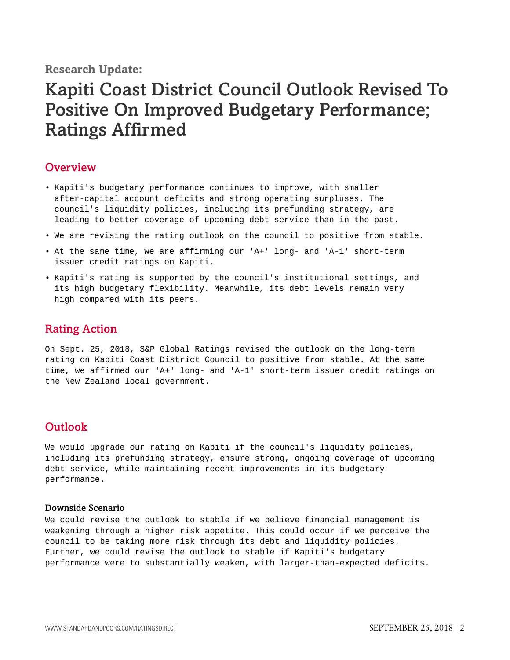### **Research Update:**

## Kapiti Coast District Council Outlook Revised To Positive On Improved Budgetary Performance; Ratings Affirmed

### <span id="page-1-0"></span>**Overview**

- Kapiti's budgetary performance continues to improve, with smaller after-capital account deficits and strong operating surpluses. The council's liquidity policies, including its prefunding strategy, are leading to better coverage of upcoming debt service than in the past.
- We are revising the rating outlook on the council to positive from stable.
- At the same time, we are affirming our 'A+' long- and 'A-1' short-term issuer credit ratings on Kapiti.
- Kapiti's rating is supported by the council's institutional settings, and its high budgetary flexibility. Meanwhile, its debt levels remain very high compared with its peers.

## <span id="page-1-1"></span>Rating Action

On Sept. 25, 2018, S&P Global Ratings revised the outlook on the long-term rating on Kapiti Coast District Council to positive from stable. At the same time, we affirmed our 'A+' long- and 'A-1' short-term issuer credit ratings on the New Zealand local government.

## <span id="page-1-2"></span>**Outlook**

We would upgrade our rating on Kapiti if the council's liquidity policies, including its prefunding strategy, ensure strong, ongoing coverage of upcoming debt service, while maintaining recent improvements in its budgetary performance.

#### Downside Scenario

We could revise the outlook to stable if we believe financial management is weakening through a higher risk appetite. This could occur if we perceive the council to be taking more risk through its debt and liquidity policies. Further, we could revise the outlook to stable if Kapiti's budgetary performance were to substantially weaken, with larger-than-expected deficits.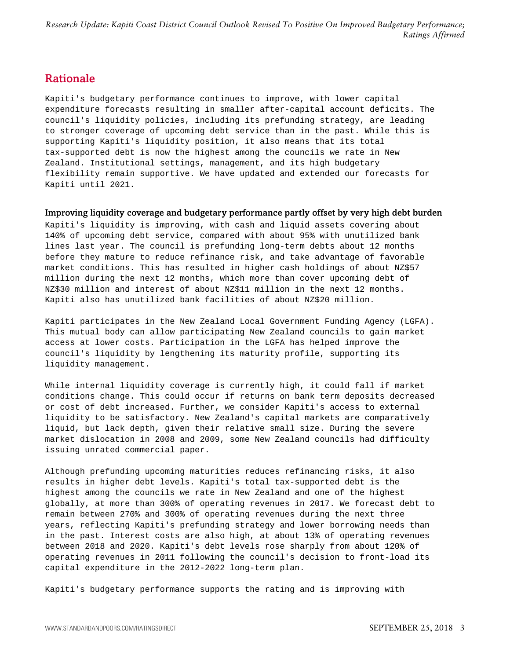## <span id="page-2-0"></span>Rationale

Kapiti's budgetary performance continues to improve, with lower capital expenditure forecasts resulting in smaller after-capital account deficits. The council's liquidity policies, including its prefunding strategy, are leading to stronger coverage of upcoming debt service than in the past. While this is supporting Kapiti's liquidity position, it also means that its total tax-supported debt is now the highest among the councils we rate in New Zealand. Institutional settings, management, and its high budgetary flexibility remain supportive. We have updated and extended our forecasts for Kapiti until 2021.

#### Improving liquidity coverage and budgetary performance partly offset by very high debt burden

Kapiti's liquidity is improving, with cash and liquid assets covering about 140% of upcoming debt service, compared with about 95% with unutilized bank lines last year. The council is prefunding long-term debts about 12 months before they mature to reduce refinance risk, and take advantage of favorable market conditions. This has resulted in higher cash holdings of about NZ\$57 million during the next 12 months, which more than cover upcoming debt of NZ\$30 million and interest of about NZ\$11 million in the next 12 months. Kapiti also has unutilized bank facilities of about NZ\$20 million.

Kapiti participates in the New Zealand Local Government Funding Agency (LGFA). This mutual body can allow participating New Zealand councils to gain market access at lower costs. Participation in the LGFA has helped improve the council's liquidity by lengthening its maturity profile, supporting its liquidity management.

While internal liquidity coverage is currently high, it could fall if market conditions change. This could occur if returns on bank term deposits decreased or cost of debt increased. Further, we consider Kapiti's access to external liquidity to be satisfactory. New Zealand's capital markets are comparatively liquid, but lack depth, given their relative small size. During the severe market dislocation in 2008 and 2009, some New Zealand councils had difficulty issuing unrated commercial paper.

Although prefunding upcoming maturities reduces refinancing risks, it also results in higher debt levels. Kapiti's total tax-supported debt is the highest among the councils we rate in New Zealand and one of the highest globally, at more than 300% of operating revenues in 2017. We forecast debt to remain between 270% and 300% of operating revenues during the next three years, reflecting Kapiti's prefunding strategy and lower borrowing needs than in the past. Interest costs are also high, at about 13% of operating revenues between 2018 and 2020. Kapiti's debt levels rose sharply from about 120% of operating revenues in 2011 following the council's decision to front-load its capital expenditure in the 2012-2022 long-term plan.

Kapiti's budgetary performance supports the rating and is improving with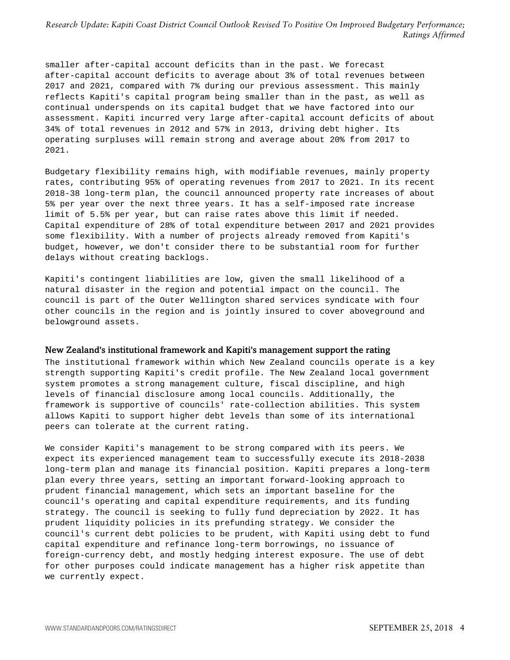smaller after-capital account deficits than in the past. We forecast after-capital account deficits to average about 3% of total revenues between 2017 and 2021, compared with 7% during our previous assessment. This mainly reflects Kapiti's capital program being smaller than in the past, as well as continual underspends on its capital budget that we have factored into our assessment. Kapiti incurred very large after-capital account deficits of about 34% of total revenues in 2012 and 57% in 2013, driving debt higher. Its operating surpluses will remain strong and average about 20% from 2017 to 2021.

Budgetary flexibility remains high, with modifiable revenues, mainly property rates, contributing 95% of operating revenues from 2017 to 2021. In its recent 2018-38 long-term plan, the council announced property rate increases of about 5% per year over the next three years. It has a self-imposed rate increase limit of 5.5% per year, but can raise rates above this limit if needed. Capital expenditure of 28% of total expenditure between 2017 and 2021 provides some flexibility. With a number of projects already removed from Kapiti's budget, however, we don't consider there to be substantial room for further delays without creating backlogs.

Kapiti's contingent liabilities are low, given the small likelihood of a natural disaster in the region and potential impact on the council. The council is part of the Outer Wellington shared services syndicate with four other councils in the region and is jointly insured to cover aboveground and belowground assets.

#### New Zealand's institutional framework and Kapiti's management support the rating

The institutional framework within which New Zealand councils operate is a key strength supporting Kapiti's credit profile. The New Zealand local government system promotes a strong management culture, fiscal discipline, and high levels of financial disclosure among local councils. Additionally, the framework is supportive of councils' rate-collection abilities. This system allows Kapiti to support higher debt levels than some of its international peers can tolerate at the current rating.

We consider Kapiti's management to be strong compared with its peers. We expect its experienced management team to successfully execute its 2018-2038 long-term plan and manage its financial position. Kapiti prepares a long-term plan every three years, setting an important forward-looking approach to prudent financial management, which sets an important baseline for the council's operating and capital expenditure requirements, and its funding strategy. The council is seeking to fully fund depreciation by 2022. It has prudent liquidity policies in its prefunding strategy. We consider the council's current debt policies to be prudent, with Kapiti using debt to fund capital expenditure and refinance long-term borrowings, no issuance of foreign-currency debt, and mostly hedging interest exposure. The use of debt for other purposes could indicate management has a higher risk appetite than we currently expect.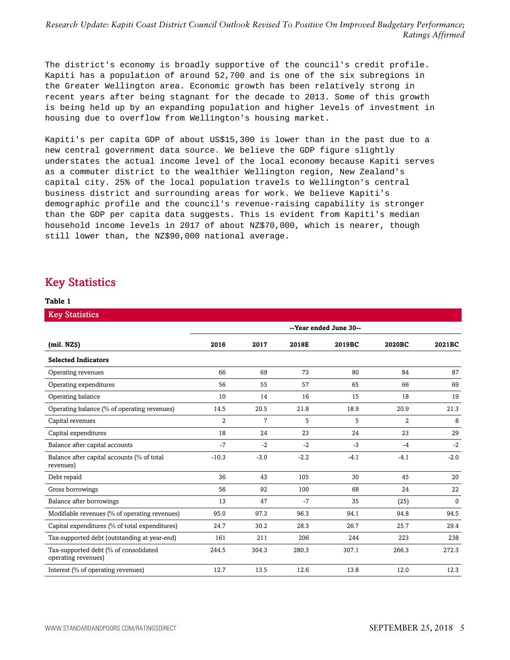The district's economy is broadly supportive of the council's credit profile. Kapiti has a population of around 52,700 and is one of the six subregions in the Greater Wellington area. Economic growth has been relatively strong in recent years after being stagnant for the decade to 2013. Some of this growth is being held up by an expanding population and higher levels of investment in housing due to overflow from Wellington's housing market.

Kapiti's per capita GDP of about US\$15,300 is lower than in the past due to a new central government data source. We believe the GDP figure slightly understates the actual income level of the local economy because Kapiti serves as a commuter district to the wealthier Wellington region, New Zealand's capital city. 25% of the local population travels to Wellington's central business district and surrounding areas for work. We believe Kapiti's demographic profile and the council's revenue-raising capability is stronger than the GDP per capita data suggests. This is evident from Kapiti's median household income levels in 2017 of about NZ\$70,000, which is nearer, though still lower than, the NZ\$90,000 national average.

## <span id="page-4-0"></span>Key Statistics

#### **Table 1**

| <b>Key Statistics</b>                                        |                        |        |        |        |                |          |
|--------------------------------------------------------------|------------------------|--------|--------|--------|----------------|----------|
|                                                              | --Year ended June 30-- |        |        |        |                |          |
| (mil. NZS)                                                   | 2016                   | 2017   | 2018E  | 2019BC | 2020BC         | 2021BC   |
| <b>Selected Indicators</b>                                   |                        |        |        |        |                |          |
| Operating revenues                                           | 66                     | 69     | 73     | 80     | 84             | 87       |
| Operating expenditures                                       | 56                     | 55     | 57     | 65     | 66             | 69       |
| Operating balance                                            | 10                     | 14     | 16     | 15     | 18             | 19       |
| Operating balance (% of operating revenues)                  | 14.5                   | 20.5   | 21.8   | 18.9   | 20.9           | 21.3     |
| Capital revenues                                             | 2                      | 7      | 5      | 5      | $\overline{2}$ | 8        |
| Capital expenditures                                         | 18                     | 24     | 23     | 24     | 23             | 29       |
| Balance after capital accounts                               | $-7$                   | $-2$   | $-2$   | $-3$   | $-4$           | $-2$     |
| Balance after capital accounts (% of total<br>revenues)      | $-10.3$                | $-3.0$ | $-2.2$ | $-4.1$ | $-4.1$         | $-2.0$   |
| Debt repaid                                                  | 36                     | 43     | 105    | 30     | 45             | 20       |
| Gross borrowings                                             | 56                     | 92     | 100    | 68     | 24             | 22       |
| Balance after borrowings                                     | 13                     | 47     | $-7$   | 35     | (25)           | $\Omega$ |
| Modifiable revenues (% of operating revenues)                | 95.0                   | 97.3   | 96.3   | 94.1   | 94.8           | 94.5     |
| Capital expenditures (% of total expenditures)               | 24.7                   | 30.2   | 28.3   | 26.7   | 25.7           | 29.4     |
| Tax-supported debt (outstanding at year-end)                 | 161                    | 211    | 206    | 244    | 223            | 238      |
| Tax-supported debt (% of consolidated<br>operating revenues) | 244.5                  | 304.3  | 280.3  | 307.1  | 266.3          | 272.3    |
| Interest (% of operating revenues)                           | 12.7                   | 13.5   | 12.6   | 13.8   | 12.0           | 12.3     |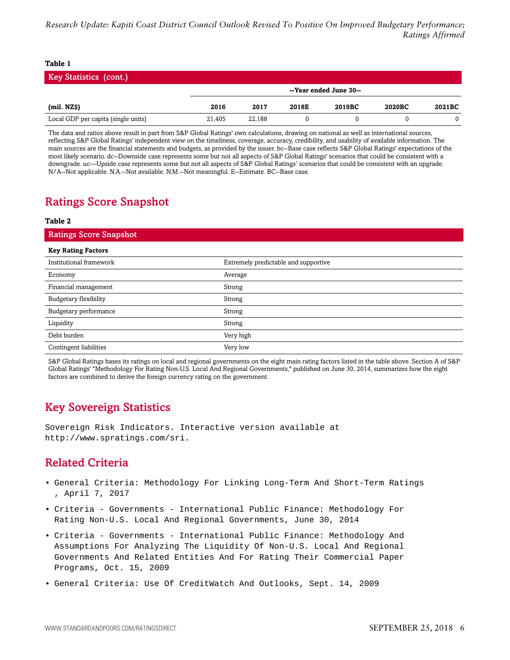#### **Table 1**

| <b>Key Statistics (cont.)</b>       |        |                        |       |        |        |        |
|-------------------------------------|--------|------------------------|-------|--------|--------|--------|
|                                     |        | --Year ended June 30-- |       |        |        |        |
| (mil. NZ\$)                         | 2016   | 2017                   | 2018E | 2019BC | 2020BC | 2021BC |
| Local GDP per capita (single units) | 21.405 | 22.188                 |       |        |        |        |

The data and ratios above result in part from S&P Global Ratings' own calculations, drawing on national as well as international sources, reflecting S&P Global Ratings' independent view on the timeliness, coverage, accuracy, credibility, and usability of available information. The main sources are the financial statements and budgets, as provided by the issuer. bc--Base case reflects S&P Global Ratings' expectations of the most likely scenario. dc--Downside case represents some but not all aspects of S&P Global Ratings' scenarios that could be consistent with a downgrade. uc—Upside case represents some but not all aspects of S&P Global Ratings' scenarios that could be consistent with an upgrade. N/A--Not applicable. N.A.--Not available. N.M.--Not meaningful. E--Estimate. BC--Base case.

## <span id="page-5-0"></span>Ratings Score Snapshot

#### **Table 2**

| <b>Ratings Score Snapshot</b> |                                      |
|-------------------------------|--------------------------------------|
| <b>Key Rating Factors</b>     |                                      |
| Institutional framework       | Extremely predictable and supportive |
| Economy                       | Average                              |
| Financial management          | Strong                               |
| Budgetary flexibility         | Strong                               |
| Budgetary performance         | Strong                               |
| Liquidity                     | Strong                               |
| Debt burden                   | Very high                            |
| Contingent liabilities        | Very low                             |

S&P Global Ratings bases its ratings on local and regional governments on the eight main rating factors listed in the table above. Section A of S&P Global Ratings' "Methodology For Rating Non-U.S. Local And Regional Governments," published on June 30, 2014, summarizes how the eight factors are combined to derive the foreign currency rating on the government.

## <span id="page-5-1"></span>Key Sovereign Statistics

<span id="page-5-2"></span>Sovereign Risk Indicators. Interactive version available at http://www.spratings.com/sri.

## Related Criteria

- General Criteria: Methodology For Linking Long-Term And Short-Term Ratings , April 7, 2017
- Criteria Governments International Public Finance: Methodology For Rating Non-U.S. Local And Regional Governments, June 30, 2014
- Criteria Governments International Public Finance: Methodology And Assumptions For Analyzing The Liquidity Of Non-U.S. Local And Regional Governments And Related Entities And For Rating Their Commercial Paper Programs, Oct. 15, 2009
- General Criteria: Use Of CreditWatch And Outlooks, Sept. 14, 2009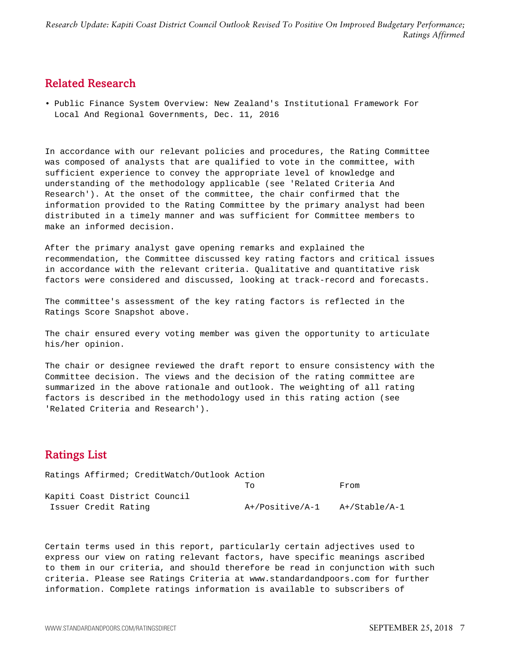## <span id="page-6-0"></span>Related Research

• Public Finance System Overview: New Zealand's Institutional Framework For Local And Regional Governments, Dec. 11, 2016

In accordance with our relevant policies and procedures, the Rating Committee was composed of analysts that are qualified to vote in the committee, with sufficient experience to convey the appropriate level of knowledge and understanding of the methodology applicable (see 'Related Criteria And Research'). At the onset of the committee, the chair confirmed that the information provided to the Rating Committee by the primary analyst had been distributed in a timely manner and was sufficient for Committee members to make an informed decision.

After the primary analyst gave opening remarks and explained the recommendation, the Committee discussed key rating factors and critical issues in accordance with the relevant criteria. Qualitative and quantitative risk factors were considered and discussed, looking at track-record and forecasts.

The committee's assessment of the key rating factors is reflected in the Ratings Score Snapshot above.

The chair ensured every voting member was given the opportunity to articulate his/her opinion.

The chair or designee reviewed the draft report to ensure consistency with the Committee decision. The views and the decision of the rating committee are summarized in the above rationale and outlook. The weighting of all rating factors is described in the methodology used in this rating action (see 'Related Criteria and Research').

## <span id="page-6-1"></span>Ratings List

| Ratings Affirmed; CreditWatch/Outlook Action |                 |               |
|----------------------------------------------|-----------------|---------------|
|                                              | Tο              | From          |
| Kapiti Coast District Council                |                 |               |
| Issuer Credit Rating                         | A+/Positive/A-1 | A+/Stable/A-1 |

Certain terms used in this report, particularly certain adjectives used to express our view on rating relevant factors, have specific meanings ascribed to them in our criteria, and should therefore be read in conjunction with such criteria. Please see Ratings Criteria at www.standardandpoors.com for further information. Complete ratings information is available to subscribers of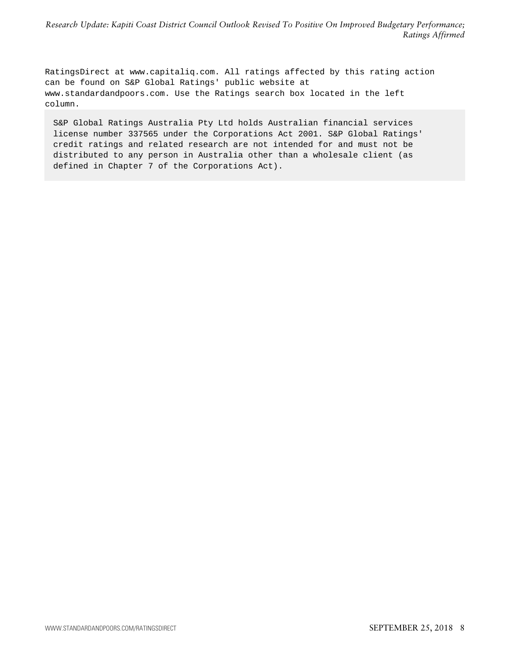RatingsDirect at www.capitaliq.com. All ratings affected by this rating action can be found on S&P Global Ratings' public website at www.standardandpoors.com. Use the Ratings search box located in the left column.

S&P Global Ratings Australia Pty Ltd holds Australian financial services license number 337565 under the Corporations Act 2001. S&P Global Ratings' credit ratings and related research are not intended for and must not be distributed to any person in Australia other than a wholesale client (as defined in Chapter 7 of the Corporations Act).